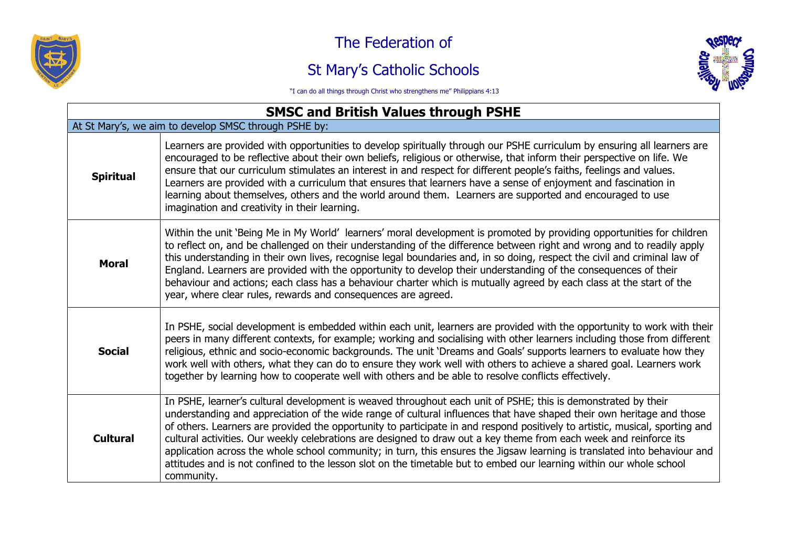

The Federation of

## St Mary's Catholic Schools



"I can do all things through Christ who strengthens me" Philippians 4:13

| <b>SMSC and British Values through PSHE</b>           |                                                                                                                                                                                                                                                                                                                                                                                                                                                                                                                                                                                                                                                                                                                                                                |  |
|-------------------------------------------------------|----------------------------------------------------------------------------------------------------------------------------------------------------------------------------------------------------------------------------------------------------------------------------------------------------------------------------------------------------------------------------------------------------------------------------------------------------------------------------------------------------------------------------------------------------------------------------------------------------------------------------------------------------------------------------------------------------------------------------------------------------------------|--|
| At St Mary's, we aim to develop SMSC through PSHE by: |                                                                                                                                                                                                                                                                                                                                                                                                                                                                                                                                                                                                                                                                                                                                                                |  |
| <b>Spiritual</b>                                      | Learners are provided with opportunities to develop spiritually through our PSHE curriculum by ensuring all learners are<br>encouraged to be reflective about their own beliefs, religious or otherwise, that inform their perspective on life. We<br>ensure that our curriculum stimulates an interest in and respect for different people's faiths, feelings and values.<br>Learners are provided with a curriculum that ensures that learners have a sense of enjoyment and fascination in<br>learning about themselves, others and the world around them. Learners are supported and encouraged to use<br>imagination and creativity in their learning.                                                                                                    |  |
| <b>Moral</b>                                          | Within the unit 'Being Me in My World' learners' moral development is promoted by providing opportunities for children<br>to reflect on, and be challenged on their understanding of the difference between right and wrong and to readily apply<br>this understanding in their own lives, recognise legal boundaries and, in so doing, respect the civil and criminal law of<br>England. Learners are provided with the opportunity to develop their understanding of the consequences of their<br>behaviour and actions; each class has a behaviour charter which is mutually agreed by each class at the start of the<br>year, where clear rules, rewards and consequences are agreed.                                                                      |  |
| <b>Social</b>                                         | In PSHE, social development is embedded within each unit, learners are provided with the opportunity to work with their<br>peers in many different contexts, for example; working and socialising with other learners including those from different<br>religious, ethnic and socio-economic backgrounds. The unit 'Dreams and Goals' supports learners to evaluate how they<br>work well with others, what they can do to ensure they work well with others to achieve a shared goal. Learners work<br>together by learning how to cooperate well with others and be able to resolve conflicts effectively.                                                                                                                                                   |  |
| <b>Cultural</b>                                       | In PSHE, learner's cultural development is weaved throughout each unit of PSHE; this is demonstrated by their<br>understanding and appreciation of the wide range of cultural influences that have shaped their own heritage and those<br>of others. Learners are provided the opportunity to participate in and respond positively to artistic, musical, sporting and<br>cultural activities. Our weekly celebrations are designed to draw out a key theme from each week and reinforce its<br>application across the whole school community; in turn, this ensures the Jigsaw learning is translated into behaviour and<br>attitudes and is not confined to the lesson slot on the timetable but to embed our learning within our whole school<br>community. |  |